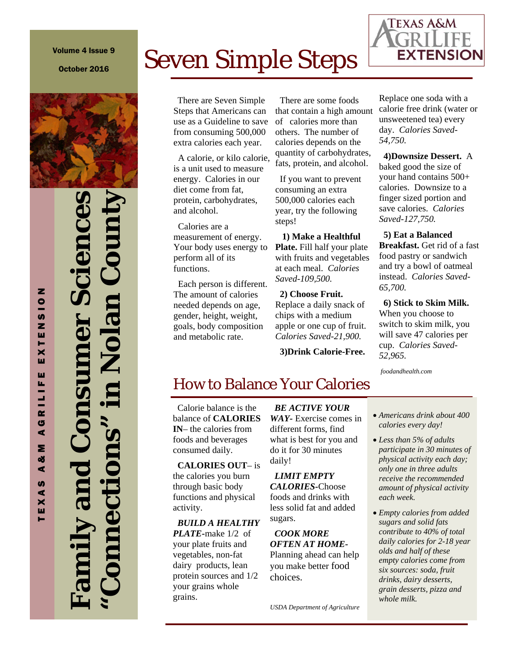# Volume 4 Issue 9

October 2016



# **Family and Consumer Sciences "Connections" in Nolan County**

TEXAS A&M AGRILIFE EXTENSION

G  $\blacktriangleleft$ Σ ಳ  $\blacktriangleleft$ **u**  $\blacktriangleleft$  $E(X)$ 

RILIF

Z  $\overline{\phantom{a}}$ **S** z ш Н × ш ш

# Seven Simple Steps

 There are Seven Simple Steps that Americans can use as a Guideline to save from consuming 500,000 extra calories each year.

 A calorie, or kilo calorie, is a unit used to measure energy. Calories in our diet come from fat, protein, carbohydrates, and alcohol.

 Calories are a measurement of energy. Your body uses energy to perform all of its functions.

 Each person is different. The amount of calories needed depends on age, gender, height, weight, goals, body composition and metabolic rate.

 There are some foods that contain a high amount of calories more than others. The number of calories depends on the quantity of carbohydrates, fats, protein, and alcohol.

 If you want to prevent consuming an extra 500,000 calories each year, try the following steps!

 **1) Make a Healthful** 

**Plate.** Fill half your plate with fruits and vegetables at each meal. *Calories Saved-109,500.*

### **2) Choose Fruit.**

Replace a daily snack of chips with a medium apple or one cup of fruit. *Calories Saved-21,900.*

 **3)Drink Calorie-Free.** 

Replace one soda with a calorie free drink (water or unsweetened tea) every day. *Calories Saved-54,750.*

 **4)Downsize Dessert.** A baked good the size of your hand contains 500+ calories. Downsize to a finger sized portion and save calories. *Calories Saved-127,750.*

 **5) Eat a Balanced Breakfast.** Get rid of a fast food pastry or sandwich and try a bowl of oatmeal instead. *Calories Saved-65,700.* 

 **6) Stick to Skim Milk.**  When you choose to switch to skim milk, you will save 47 calories per cup. *Calories Saved-52,965.* 

*foodandhealth.com* 

# How to Balance Your Calories

 Calorie balance is the balance of **CALORIES IN**– the calories from foods and beverages consumed daily.

 **CALORIES OUT**– is the calories you burn through basic body functions and physical activity.

 *BUILD A HEALTHY* 

*PLATE-*make 1/2 of your plate fruits and vegetables, non-fat dairy products, lean protein sources and 1/2 your grains whole grains.

 *BE ACTIVE YOUR WAY-* Exercise comes in different forms, find what is best for you and do it for 30 minutes daily!

 *LIMIT EMPTY CALORIES-*Choose foods and drinks with less solid fat and added sugars.

 *COOK MORE OFTEN AT HOME-*Planning ahead can help you make better food choices.

- *Americans drink about 400 calories every day!*
- *Less than 5% of adults participate in 30 minutes of physical activity each day; only one in three adults receive the recommended amount of physical activity each week.*
- *Empty calories from added sugars and solid fats contribute to 40% of total daily calories for 2-18 year olds and half of these empty calories come from six sources: soda, fruit drinks, dairy desserts, grain desserts, pizza and whole milk.*

**TEXAS A&M**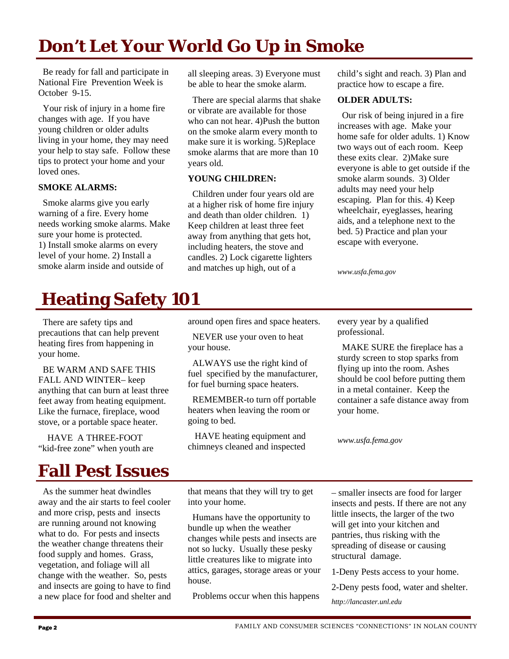# **Don't Let Your World Go Up in Smoke**

 Be ready for fall and participate in National Fire Prevention Week is October 9-15.

 Your risk of injury in a home fire changes with age. If you have young children or older adults living in your home, they may need your help to stay safe. Follow these tips to protect your home and your loved ones.

### **SMOKE ALARMS:**

 Smoke alarms give you early warning of a fire. Every home needs working smoke alarms. Make sure your home is protected. 1) Install smoke alarms on every level of your home. 2) Install a smoke alarm inside and outside of

all sleeping areas. 3) Everyone must be able to hear the smoke alarm.

 There are special alarms that shake or vibrate are available for those who can not hear. 4)Push the button on the smoke alarm every month to make sure it is working. 5)Replace smoke alarms that are more than 10 years old.

### **YOUNG CHILDREN:**

 Children under four years old are at a higher risk of home fire injury and death than older children. 1) Keep children at least three feet away from anything that gets hot, including heaters, the stove and candles. 2) Lock cigarette lighters and matches up high, out of a

child's sight and reach. 3) Plan and practice how to escape a fire.

### **OLDER ADULTS:**

 Our risk of being injured in a fire increases with age. Make your home safe for older adults. 1) Know two ways out of each room. Keep these exits clear. 2)Make sure everyone is able to get outside if the smoke alarm sounds. 3) Older adults may need your help escaping. Plan for this. 4) Keep wheelchair, eyeglasses, hearing aids, and a telephone next to the bed. 5) Practice and plan your escape with everyone.

*www.usfa.fema.gov* 

# **Heating Safety 101**

 There are safety tips and precautions that can help prevent heating fires from happening in your home.

 BE WARM AND SAFE THIS FALL AND WINTER– keep anything that can burn at least three feet away from heating equipment. Like the furnace, fireplace, wood stove, or a portable space heater.

 HAVE A THREE-FOOT "kid-free zone" when youth are

# **Fall Pest Issues**

 As the summer heat dwindles away and the air starts to feel cooler and more crisp, pests and insects are running around not knowing what to do. For pests and insects the weather change threatens their food supply and homes. Grass, vegetation, and foliage will all change with the weather. So, pests and insects are going to have to find a new place for food and shelter and around open fires and space heaters.

 NEVER use your oven to heat your house.

 ALWAYS use the right kind of fuel specified by the manufacturer, for fuel burning space heaters.

 REMEMBER-to turn off portable heaters when leaving the room or going to bed.

 HAVE heating equipment and chimneys cleaned and inspected every year by a qualified professional.

 MAKE SURE the fireplace has a sturdy screen to stop sparks from flying up into the room. Ashes should be cool before putting them in a metal container. Keep the container a safe distance away from your home.

*www.usfa.fema.gov* 

that means that they will try to get into your home.

 Humans have the opportunity to bundle up when the weather changes while pests and insects are not so lucky. Usually these pesky little creatures like to migrate into attics, garages, storage areas or your house.

Problems occur when this happens

– smaller insects are food for larger insects and pests. If there are not any little insects, the larger of the two will get into your kitchen and pantries, thus risking with the spreading of disease or causing structural damage.

1-Deny Pests access to your home.

2-Deny pests food, water and shelter. *http://lancaster.unl.edu*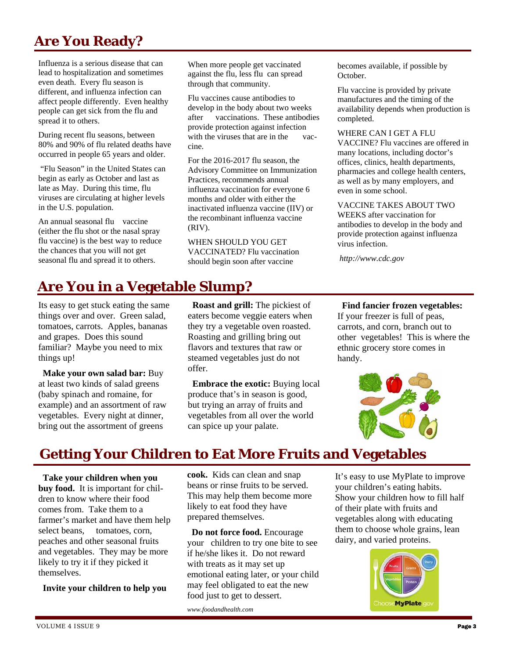# **Are You Ready?**

Influenza is a serious disease that can lead to hospitalization and sometimes even death. Every flu season is different, and influenza infection can affect people differently. Even healthy people can get sick from the flu and spread it to others.

During recent flu seasons, between 80% and 90% of flu related deaths have occurred in people 65 years and older.

 "Flu Season" in the United States can begin as early as October and last as late as May. During this time, flu viruses are circulating at higher levels in the U.S. population.

An annual seasonal flu vaccine (either the flu shot or the nasal spray flu vaccine) is the best way to reduce the chances that you will not get seasonal flu and spread it to others.

# **Are You in a Vegetable Slump?**

Its easy to get stuck eating the same things over and over. Green salad, tomatoes, carrots. Apples, bananas and grapes. Does this sound familiar? Maybe you need to mix things up!

 **Make your own salad bar:** Buy at least two kinds of salad greens (baby spinach and romaine, for example) and an assortment of raw vegetables. Every night at dinner, bring out the assortment of greens

When more people get vaccinated against the flu, less flu can spread through that community.

Flu vaccines cause antibodies to develop in the body about two weeks after vaccinations. These antibodies provide protection against infection with the viruses that are in the vaccine.

For the 2016-2017 flu season, the Advisory Committee on Immunization Practices, recommends annual influenza vaccination for everyone 6 months and older with either the inactivated influenza vaccine (IIV) or the recombinant influenza vaccine (RIV).

WHEN SHOULD YOU GET VACCINATED? Flu vaccination should begin soon after vaccine

 **Roast and grill:** The pickiest of eaters become veggie eaters when they try a vegetable oven roasted. Roasting and grilling bring out flavors and textures that raw or steamed vegetables just do not

 **Embrace the exotic:** Buying local produce that's in season is good, but trying an array of fruits and vegetables from all over the world

becomes available, if possible by October.

Flu vaccine is provided by private manufactures and the timing of the availability depends when production is completed.

WHERE CAN I GET A FLU VACCINE? Flu vaccines are offered in many locations, including doctor's offices, clinics, health departments, pharmacies and college health centers, as well as by many employers, and even in some school.

VACCINE TAKES ABOUT TWO WEEKS after vaccination for antibodies to develop in the body and

provide protection against influenza virus infection.

*http://www.cdc.gov* 

### **Find fancier frozen vegetables:**

If your freezer is full of peas, carrots, and corn, branch out to other vegetables! This is where the ethnic grocery store comes in handy.



# **Getting Your Children to Eat More Fruits and Vegetables**

can spice up your palate.

offer.

 **Take your children when you buy food.** It is important for children to know where their food comes from. Take them to a farmer's market and have them help select beans, tomatoes, corn, peaches and other seasonal fruits and vegetables. They may be more likely to try it if they picked it themselves.

 **Invite your children to help you** 

**cook.** Kids can clean and snap beans or rinse fruits to be served. This may help them become more likely to eat food they have prepared themselves.

 **Do not force food.** Encourage your children to try one bite to see if he/she likes it. Do not reward with treats as it may set up emotional eating later, or your child may feel obligated to eat the new food just to get to dessert.

*www.foodandhealth.com* 

It's easy to use MyPlate to improve your children's eating habits. Show your children how to fill half of their plate with fruits and vegetables along with educating them to choose whole grains, lean dairy, and varied proteins.